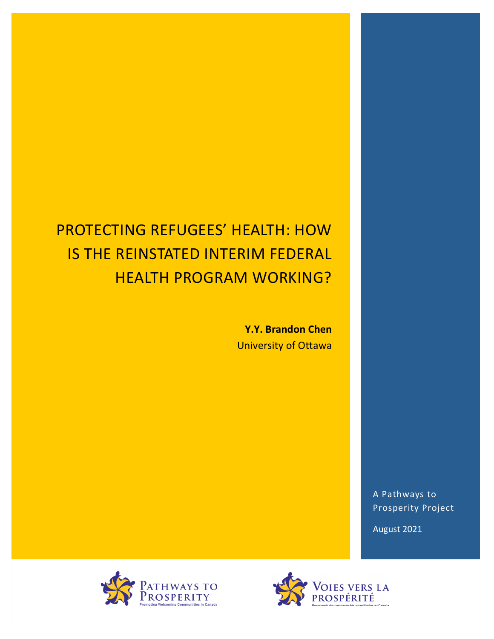# PROTECTING REFUGEES' HEALTH: HOW **IS THE REINSTATED INTERIM FEDERAL HEALTH PROGRAM WORKING?**

Y.Y. Brandon Chen University of Ottawa

> A Pathways to Prosperity Project

August 2021



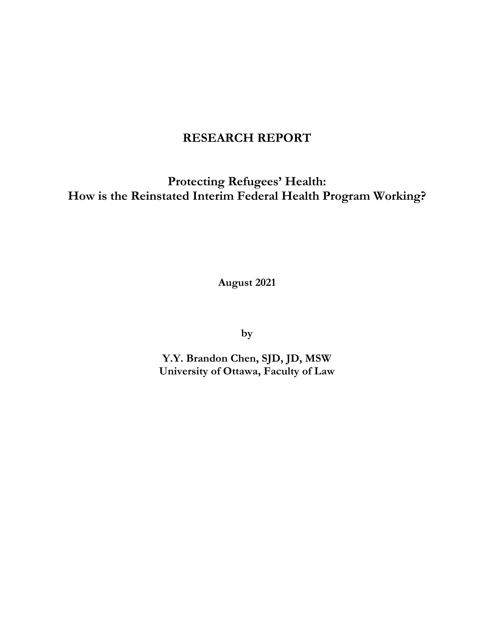# **RESEARCH REPORT**

**Protecting Refugees' Health: How is the Reinstated Interim Federal Health Program Working?**

**August 2021**

**by**

**Y.Y. Brandon Chen, SJD, JD, MSW University of Ottawa, Faculty of Law**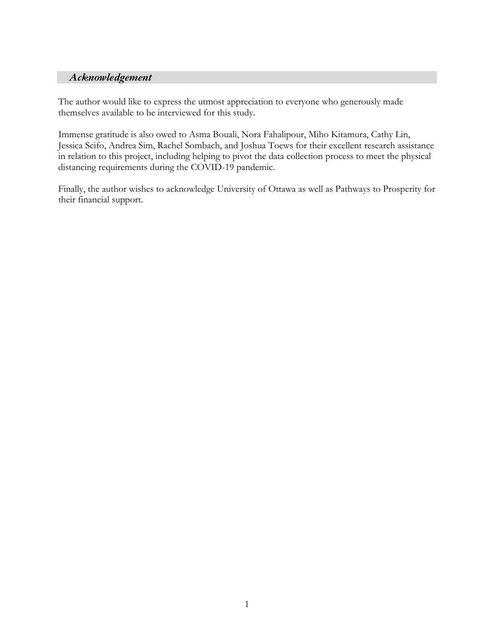# *Acknowledgement*

The author would like to express the utmost appreciation to everyone who generously made themselves available to be interviewed for this study.

Immense gratitude is also owed to Asma Bouali, Nora Fahalipour, Miho Kitamura, Cathy Lin, Jessica Scifo, Andrea Sim, Rachel Sombach, and Joshua Toews for their excellent research assistance in relation to this project, including helping to pivot the data collection process to meet the physical distancing requirements during the COVID-19 pandemic.

Finally, the author wishes to acknowledge University of Ottawa as well as Pathways to Prosperity for their financial support.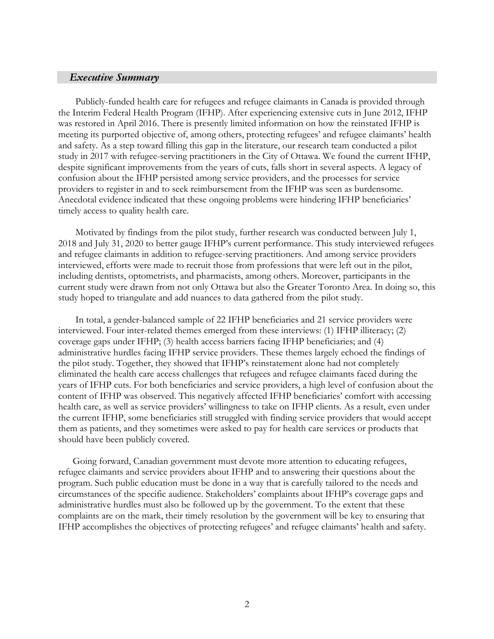#### *Executive Summary*

Publicly-funded health care for refugees and refugee claimants in Canada is provided through the Interim Federal Health Program (IFHP). After experiencing extensive cuts in June 2012, IFHP was restored in April 2016. There is presently limited information on how the reinstated IFHP is meeting its purported objective of, among others, protecting refugees' and refugee claimants' health and safety. As a step toward filling this gap in the literature, our research team conducted a pilot study in 2017 with refugee-serving practitioners in the City of Ottawa. We found the current IFHP, despite significant improvements from the years of cuts, falls short in several aspects. A legacy of confusion about the IFHP persisted among service providers, and the processes for service providers to register in and to seek reimbursement from the IFHP was seen as burdensome. Anecdotal evidence indicated that these ongoing problems were hindering IFHP beneficiaries' timely access to quality health care.

Motivated by findings from the pilot study, further research was conducted between July 1, 2018 and July 31, 2020 to better gauge IFHP's current performance. This study interviewed refugees and refugee claimants in addition to refugee-serving practitioners. And among service providers interviewed, efforts were made to recruit those from professions that were left out in the pilot, including dentists, optometrists, and pharmacists, among others. Moreover, participants in the current study were drawn from not only Ottawa but also the Greater Toronto Area. In doing so, this study hoped to triangulate and add nuances to data gathered from the pilot study.

In total, a gender-balanced sample of 22 IFHP beneficiaries and 21 service providers were interviewed. Four inter-related themes emerged from these interviews: (1) IFHP illiteracy; (2) coverage gaps under IFHP; (3) health access barriers facing IFHP beneficiaries; and (4) administrative hurdles facing IFHP service providers. These themes largely echoed the findings of the pilot study. Together, they showed that IFHP's reinstatement alone had not completely eliminated the health care access challenges that refugees and refugee claimants faced during the years of IFHP cuts. For both beneficiaries and service providers, a high level of confusion about the content of IFHP was observed. This negatively affected IFHP beneficiaries' comfort with accessing health care, as well as service providers' willingness to take on IFHP clients. As a result, even under the current IFHP, some beneficiaries still struggled with finding service providers that would accept them as patients, and they sometimes were asked to pay for health care services or products that should have been publicly covered.

Going forward, Canadian government must devote more attention to educating refugees, refugee claimants and service providers about IFHP and to answering their questions about the program. Such public education must be done in a way that is carefully tailored to the needs and circumstances of the specific audience. Stakeholders' complaints about IFHP's coverage gaps and administrative hurdles must also be followed up by the government. To the extent that these complaints are on the mark, their timely resolution by the government will be key to ensuring that IFHP accomplishes the objectives of protecting refugees' and refugee claimants' health and safety.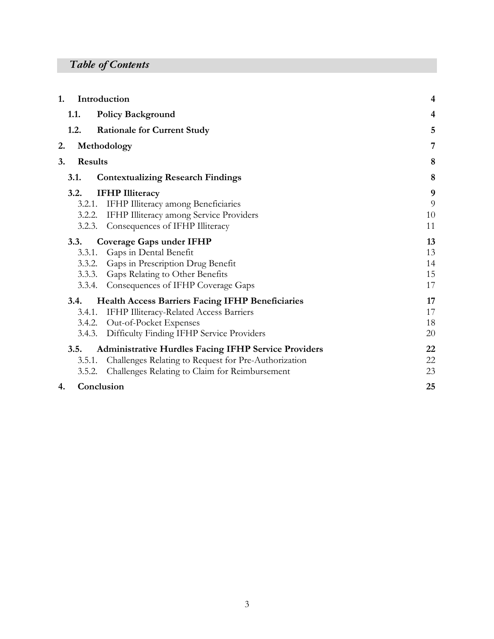# *Table of Contents*

| 1. |                | Introduction                                                | 4                |
|----|----------------|-------------------------------------------------------------|------------------|
|    | 1.1.           | <b>Policy Background</b>                                    | 4                |
|    | 1.2.           | <b>Rationale for Current Study</b>                          | 5                |
| 2. |                | Methodology                                                 | 7                |
| 3. | <b>Results</b> | 8                                                           |                  |
|    | <b>3.1.</b>    | <b>Contextualizing Research Findings</b>                    | 8                |
|    | 3.2.           | <b>IFHP</b> Illiteracy                                      | $\boldsymbol{9}$ |
|    | 3.2.1.         | <b>IFHP</b> Illiteracy among Beneficiaries                  | $\overline{9}$   |
|    | 3.2.2.         | IFHP Illiteracy among Service Providers                     | 10               |
|    | 3.2.3.         | Consequences of IFHP Illiteracy                             | 11               |
|    | 3.3.           | Coverage Gaps under IFHP                                    | 13               |
|    | 3.3.1.         | Gaps in Dental Benefit                                      | 13               |
|    |                | 3.3.2. Gaps in Prescription Drug Benefit                    | 14               |
|    |                | 3.3.3. Gaps Relating to Other Benefits                      | 15               |
|    |                | 3.3.4. Consequences of IFHP Coverage Gaps                   | 17               |
|    | 3.4.           | <b>Health Access Barriers Facing IFHP Beneficiaries</b>     | 17               |
|    | 3.4.1.         | <b>IFHP Illiteracy-Related Access Barriers</b>              | 17               |
|    | 3.4.2.         | Out-of-Pocket Expenses                                      | 18               |
|    |                | 3.4.3. Difficulty Finding IFHP Service Providers            | 20               |
|    | 3.5.           | <b>Administrative Hurdles Facing IFHP Service Providers</b> | 22               |
|    | 3.5.1.         | Challenges Relating to Request for Pre-Authorization        | 22               |
|    | 3.5.2.         | Challenges Relating to Claim for Reimbursement              | 23               |
| 4. |                | Conclusion                                                  | 25               |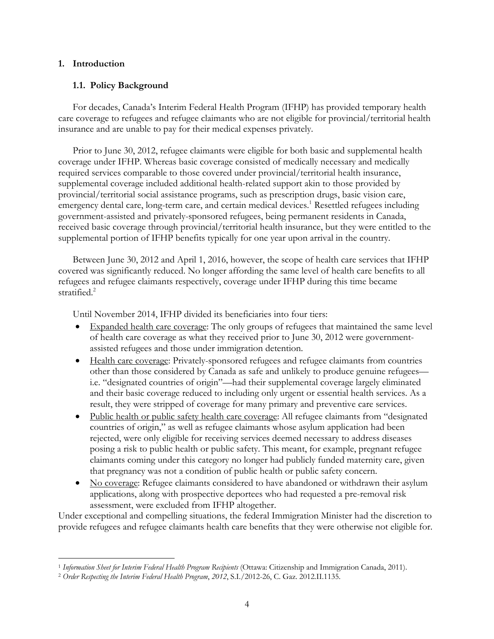# **1. Introduction**

# **1.1. Policy Background**

For decades, Canada's Interim Federal Health Program (IFHP) has provided temporary health care coverage to refugees and refugee claimants who are not eligible for provincial/territorial health insurance and are unable to pay for their medical expenses privately.

Prior to June 30, 2012, refugee claimants were eligible for both basic and supplemental health coverage under IFHP. Whereas basic coverage consisted of medically necessary and medically required services comparable to those covered under provincial/territorial health insurance, supplemental coverage included additional health-related support akin to those provided by provincial/territorial social assistance programs, such as prescription drugs, basic vision care, emergency dental care, long-term care, and certain medical devices.<sup>1</sup> Resettled refugees including government-assisted and privately-sponsored refugees, being permanent residents in Canada, received basic coverage through provincial/territorial health insurance, but they were entitled to the supplemental portion of IFHP benefits typically for one year upon arrival in the country.

Between June 30, 2012 and April 1, 2016, however, the scope of health care services that IFHP covered was significantly reduced. No longer affording the same level of health care benefits to all refugees and refugee claimants respectively, coverage under IFHP during this time became stratified.<sup>2</sup>

Until November 2014, IFHP divided its beneficiaries into four tiers:

- Expanded health care coverage: The only groups of refugees that maintained the same level of health care coverage as what they received prior to June 30, 2012 were governmentassisted refugees and those under immigration detention.
- Health care coverage: Privately-sponsored refugees and refugee claimants from countries other than those considered by Canada as safe and unlikely to produce genuine refugees i.e. "designated countries of origin"—had their supplemental coverage largely eliminated and their basic coverage reduced to including only urgent or essential health services. As a result, they were stripped of coverage for many primary and preventive care services.
- Public health or public safety health care coverage: All refugee claimants from "designated" countries of origin," as well as refugee claimants whose asylum application had been rejected, were only eligible for receiving services deemed necessary to address diseases posing a risk to public health or public safety. This meant, for example, pregnant refugee claimants coming under this category no longer had publicly funded maternity care, given that pregnancy was not a condition of public health or public safety concern.
- No coverage: Refugee claimants considered to have abandoned or withdrawn their asylum applications, along with prospective deportees who had requested a pre-removal risk assessment, were excluded from IFHP altogether.

Under exceptional and compelling situations, the federal Immigration Minister had the discretion to provide refugees and refugee claimants health care benefits that they were otherwise not eligible for.

<sup>1</sup> *Information Sheet for Interim Federal Health Program Recipients* (Ottawa: Citizenship and Immigration Canada, 2011).

<sup>2</sup> *Order Respecting the Interim Federal Health Program*, *2012*, S.I./2012-26, C. Gaz. 2012.II.1135.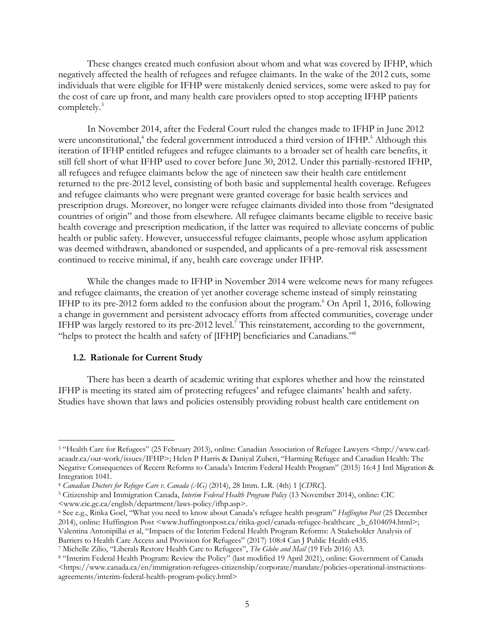These changes created much confusion about whom and what was covered by IFHP, which negatively affected the health of refugees and refugee claimants. In the wake of the 2012 cuts, some individuals that were eligible for IFHP were mistakenly denied services, some were asked to pay for the cost of care up front, and many health care providers opted to stop accepting IFHP patients completely.3

In November 2014, after the Federal Court ruled the changes made to IFHP in June 2012 were unconstitutional,<sup>4</sup> the federal government introduced a third version of IFHP.<sup>5</sup> Although this iteration of IFHP entitled refugees and refugee claimants to a broader set of health care benefits, it still fell short of what IFHP used to cover before June 30, 2012. Under this partially-restored IFHP, all refugees and refugee claimants below the age of nineteen saw their health care entitlement returned to the pre-2012 level, consisting of both basic and supplemental health coverage. Refugees and refugee claimants who were pregnant were granted coverage for basic health services and prescription drugs. Moreover, no longer were refugee claimants divided into those from "designated countries of origin" and those from elsewhere. All refugee claimants became eligible to receive basic health coverage and prescription medication, if the latter was required to alleviate concerns of public health or public safety. However, unsuccessful refugee claimants, people whose asylum application was deemed withdrawn, abandoned or suspended, and applicants of a pre-removal risk assessment continued to receive minimal, if any, health care coverage under IFHP.

While the changes made to IFHP in November 2014 were welcome news for many refugees and refugee claimants, the creation of yet another coverage scheme instead of simply reinstating IFHP to its pre-2012 form added to the confusion about the program. <sup>6</sup> On April 1, 2016, following a change in government and persistent advocacy efforts from affected communities, coverage under IFHP was largely restored to its pre-2012 level.<sup>7</sup> This reinstatement, according to the government, "helps to protect the health and safety of [IFHP] beneficiaries and Canadians."<sup>8</sup>

#### **1.2. Rationale for Current Study**

There has been a dearth of academic writing that explores whether and how the reinstated IFHP is meeting its stated aim of protecting refugees' and refugee claimants' health and safety. Studies have shown that laws and policies ostensibly providing robust health care entitlement on

<sup>3</sup> "Health Care for Refugees" (25 February 2013), online: Canadian Association of Refugee Lawyers <http://www.carlacaadr.ca/our-work/issues/IFHP>; Helen P Harris & Daniyal Zuberi, "Harming Refugee and Canadian Health: The Negative Consequences of Recent Reforms to Canada's Interim Federal Health Program" (2015) 16:4 J Intl Migration & Integration 1041.

<sup>4</sup> *Canadian Doctors for Refugee Care v. Canada (AG)* (2014), 28 Imm. L.R. (4th) 1 [*CDRC*]. 5 Citizenship and Immigration Canada, *Interim Federal Health Program Policy* (13 November 2014), online: CIC <www.cic.gc.ca/english/department/laws-policy/ifhp.asp>.

<sup>6</sup> See e.g., Ritika Goel, "What you need to know about Canada's refugee health program" *Huffington Post* (25 December 2014), online: Huffington Post <www.huffingtonpost.ca/ritika-goel/canada-refugee-healthcare \_b\_6104694.html>; Valentina Antonipillai et al, "Impacts of the Interim Federal Health Program Reforms: A Stakeholder Analysis of Barriers to Health Care Access and Provision for Refugees" (2017) 108:4 Can J Public Health e435.

<sup>7</sup> Michelle Zilio, "Liberals Restore Health Care to Refugees", *The Globe and Mail* (19 Feb 2016) A3.

<sup>8</sup> "Interim Federal Health Program: Review the Policy" (last modified 19 April 2021), online: Government of Canada  $\langle$ https://www.canada.ca/en/immigration-refugees-citizenship/corporate/mandate/policies-operational-instructionsagreements/interim-federal-health-program-policy.html>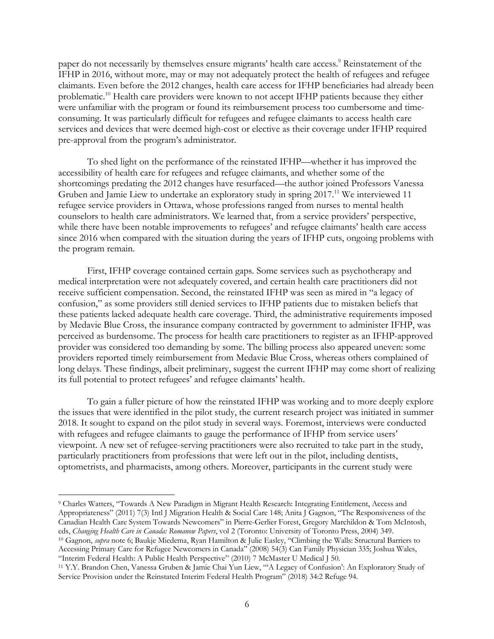paper do not necessarily by themselves ensure migrants' health care access.<sup>9</sup> Reinstatement of the IFHP in 2016, without more, may or may not adequately protect the health of refugees and refugee claimants. Even before the 2012 changes, health care access for IFHP beneficiaries had already been problematic.10 Health care providers were known to not accept IFHP patients because they either were unfamiliar with the program or found its reimbursement process too cumbersome and timeconsuming. It was particularly difficult for refugees and refugee claimants to access health care services and devices that were deemed high-cost or elective as their coverage under IFHP required pre-approval from the program's administrator.

To shed light on the performance of the reinstated IFHP—whether it has improved the accessibility of health care for refugees and refugee claimants, and whether some of the shortcomings predating the 2012 changes have resurfaced—the author joined Professors Vanessa Gruben and Jamie Liew to undertake an exploratory study in spring 2017.<sup>11</sup> We interviewed 11 refugee service providers in Ottawa, whose professions ranged from nurses to mental health counselors to health care administrators. We learned that, from a service providers' perspective, while there have been notable improvements to refugees' and refugee claimants' health care access since 2016 when compared with the situation during the years of IFHP cuts, ongoing problems with the program remain.

First, IFHP coverage contained certain gaps. Some services such as psychotherapy and medical interpretation were not adequately covered, and certain health care practitioners did not receive sufficient compensation. Second, the reinstated IFHP was seen as mired in "a legacy of confusion," as some providers still denied services to IFHP patients due to mistaken beliefs that these patients lacked adequate health care coverage. Third, the administrative requirements imposed by Medavie Blue Cross, the insurance company contracted by government to administer IFHP, was perceived as burdensome. The process for health care practitioners to register as an IFHP-approved provider was considered too demanding by some. The billing process also appeared uneven: some providers reported timely reimbursement from Medavie Blue Cross, whereas others complained of long delays. These findings, albeit preliminary, suggest the current IFHP may come short of realizing its full potential to protect refugees' and refugee claimants' health.

To gain a fuller picture of how the reinstated IFHP was working and to more deeply explore the issues that were identified in the pilot study, the current research project was initiated in summer 2018. It sought to expand on the pilot study in several ways. Foremost, interviews were conducted with refugees and refugee claimants to gauge the performance of IFHP from service users' viewpoint. A new set of refugee-serving practitioners were also recruited to take part in the study, particularly practitioners from professions that were left out in the pilot, including dentists, optometrists, and pharmacists, among others. Moreover, participants in the current study were

<sup>9</sup> Charles Watters, "Towards A New Paradigm in Migrant Health Research: Integrating Entitlement, Access and Appropriateness" (2011) 7(3) Intl J Migration Health & Social Care 148; Anita J Gagnon, "The Responsiveness of the Canadian Health Care System Towards Newcomers" in Pierre-Gerlier Forest, Gregory Marchildon & Tom McIntosh, eds, *Changing Health Care in Canada: Romanow Papers*, vol 2 (Toronto: University of Toronto Press, 2004) 349. <sup>10</sup> Gagnon, *supra* note 6; Baukje Miedema, Ryan Hamilton & Julie Easley, "Climbing the Walls: Structural Barriers to Accessing Primary Care for Refugee Newcomers in Canada" (2008) 54(3) Can Family Physician 335; Joshua Wales, "Interim Federal Health: A Public Health Perspective" (2010) 7 McMaster U Medical J 50.

<sup>11</sup> Y.Y. Brandon Chen, Vanessa Gruben & Jamie Chai Yun Liew, "'A Legacy of Confusion': An Exploratory Study of Service Provision under the Reinstated Interim Federal Health Program" (2018) 34:2 Refuge 94.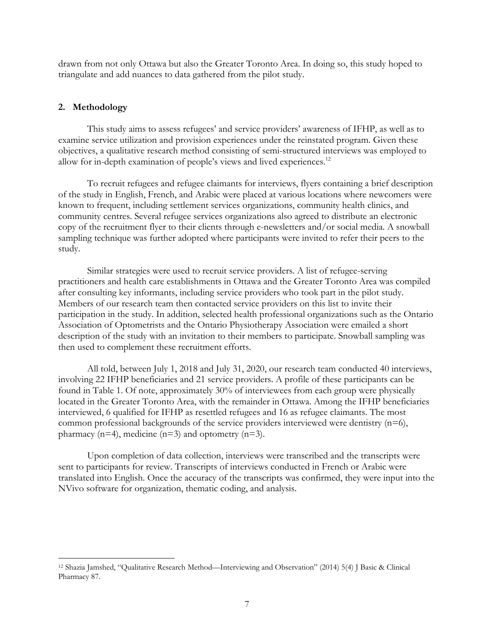drawn from not only Ottawa but also the Greater Toronto Area. In doing so, this study hoped to triangulate and add nuances to data gathered from the pilot study.

## **2. Methodology**

This study aims to assess refugees' and service providers' awareness of IFHP, as well as to examine service utilization and provision experiences under the reinstated program. Given these objectives, a qualitative research method consisting of semi-structured interviews was employed to allow for in-depth examination of people's views and lived experiences.<sup>12</sup>

To recruit refugees and refugee claimants for interviews, flyers containing a brief description of the study in English, French, and Arabic were placed at various locations where newcomers were known to frequent, including settlement services organizations, community health clinics, and community centres. Several refugee services organizations also agreed to distribute an electronic copy of the recruitment flyer to their clients through e-newsletters and/or social media. A snowball sampling technique was further adopted where participants were invited to refer their peers to the study.

Similar strategies were used to recruit service providers. A list of refugee-serving practitioners and health care establishments in Ottawa and the Greater Toronto Area was compiled after consulting key informants, including service providers who took part in the pilot study. Members of our research team then contacted service providers on this list to invite their participation in the study. In addition, selected health professional organizations such as the Ontario Association of Optometrists and the Ontario Physiotherapy Association were emailed a short description of the study with an invitation to their members to participate. Snowball sampling was then used to complement these recruitment efforts.

All told, between July 1, 2018 and July 31, 2020, our research team conducted 40 interviews, involving 22 IFHP beneficiaries and 21 service providers. A profile of these participants can be found in Table 1. Of note, approximately 30% of interviewees from each group were physically located in the Greater Toronto Area, with the remainder in Ottawa. Among the IFHP beneficiaries interviewed, 6 qualified for IFHP as resettled refugees and 16 as refugee claimants. The most common professional backgrounds of the service providers interviewed were dentistry  $(n=6)$ , pharmacy  $(n=4)$ , medicine  $(n=3)$  and optometry  $(n=3)$ .

Upon completion of data collection, interviews were transcribed and the transcripts were sent to participants for review. Transcripts of interviews conducted in French or Arabic were translated into English. Once the accuracy of the transcripts was confirmed, they were input into the NVivo software for organization, thematic coding, and analysis.

<sup>12</sup> Shazia Jamshed, "Qualitative Research Method—Interviewing and Observation" (2014) 5(4) J Basic & Clinical Pharmacy 87.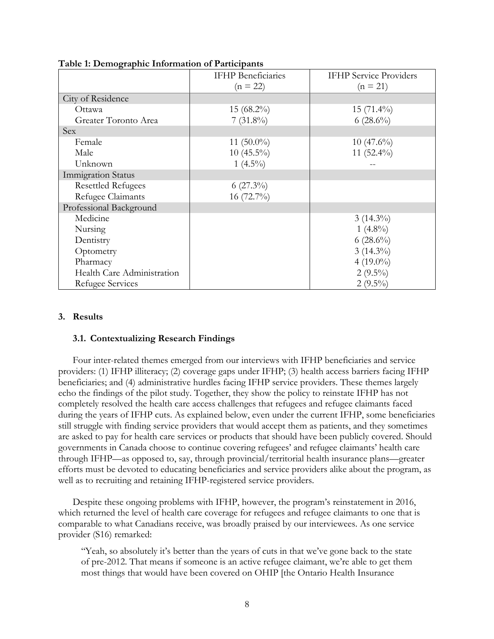|                            | <b>IFHP</b> Beneficiaries | <b>IFHP</b> Service Providers |
|----------------------------|---------------------------|-------------------------------|
|                            | $(n = 22)$                | $(n = 21)$                    |
| City of Residence          |                           |                               |
| Ottawa                     | $15(68.2\%)$              | $15(71.4\%)$                  |
| Greater Toronto Area       | $7(31.8\%)$               | $6(28.6\%)$                   |
| Sex                        |                           |                               |
| Female                     | 11 $(50.0\%)$             | $10(47.6\%)$                  |
| Male                       | $10(45.5\%)$              | 11 $(52.4\%)$                 |
| Unknown                    | 1 $(4.5\%)$               |                               |
| <b>Immigration Status</b>  |                           |                               |
| <b>Resettled Refugees</b>  | $6(27.3\%)$               |                               |
| Refugee Claimants          | 16 $(72.7\%)$             |                               |
| Professional Background    |                           |                               |
| Medicine                   |                           | $3(14.3\%)$                   |
| Nursing                    |                           | 1 $(4.8\%)$                   |
| Dentistry                  |                           | $6(28.6\%)$                   |
| Optometry                  |                           | $3(14.3\%)$                   |
| Pharmacy                   |                           | 4 $(19.0\%)$                  |
| Health Care Administration |                           | $2(9.5\%)$                    |
| Refugee Services           |                           | $2(9.5\%)$                    |

| Table 1: Demographic Information of Participants |  |
|--------------------------------------------------|--|
|--------------------------------------------------|--|

## **3. Results**

## **3.1. Contextualizing Research Findings**

Four inter-related themes emerged from our interviews with IFHP beneficiaries and service providers: (1) IFHP illiteracy; (2) coverage gaps under IFHP; (3) health access barriers facing IFHP beneficiaries; and (4) administrative hurdles facing IFHP service providers. These themes largely echo the findings of the pilot study. Together, they show the policy to reinstate IFHP has not completely resolved the health care access challenges that refugees and refugee claimants faced during the years of IFHP cuts. As explained below, even under the current IFHP, some beneficiaries still struggle with finding service providers that would accept them as patients, and they sometimes are asked to pay for health care services or products that should have been publicly covered. Should governments in Canada choose to continue covering refugees' and refugee claimants' health care through IFHP—as opposed to, say, through provincial/territorial health insurance plans—greater efforts must be devoted to educating beneficiaries and service providers alike about the program, as well as to recruiting and retaining IFHP-registered service providers.

Despite these ongoing problems with IFHP, however, the program's reinstatement in 2016, which returned the level of health care coverage for refugees and refugee claimants to one that is comparable to what Canadians receive, was broadly praised by our interviewees. As one service provider (S16) remarked:

"Yeah, so absolutely it's better than the years of cuts in that we've gone back to the state of pre-2012. That means if someone is an active refugee claimant, we're able to get them most things that would have been covered on OHIP [the Ontario Health Insurance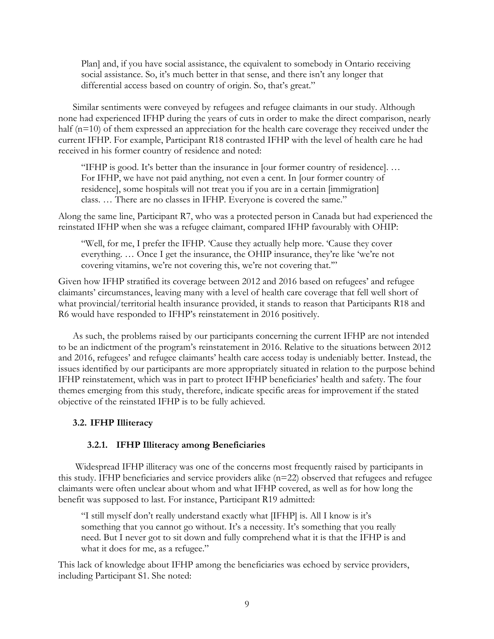Plan] and, if you have social assistance, the equivalent to somebody in Ontario receiving social assistance. So, it's much better in that sense, and there isn't any longer that differential access based on country of origin. So, that's great."

Similar sentiments were conveyed by refugees and refugee claimants in our study. Although none had experienced IFHP during the years of cuts in order to make the direct comparison, nearly half (n=10) of them expressed an appreciation for the health care coverage they received under the current IFHP. For example, Participant R18 contrasted IFHP with the level of health care he had received in his former country of residence and noted:

"IFHP is good. It's better than the insurance in [our former country of residence]. … For IFHP, we have not paid anything, not even a cent. In [our former country of residence], some hospitals will not treat you if you are in a certain [immigration] class. … There are no classes in IFHP. Everyone is covered the same."

Along the same line, Participant R7, who was a protected person in Canada but had experienced the reinstated IFHP when she was a refugee claimant, compared IFHP favourably with OHIP:

"Well, for me, I prefer the IFHP. 'Cause they actually help more. 'Cause they cover everything. … Once I get the insurance, the OHIP insurance, they're like 'we're not covering vitamins, we're not covering this, we're not covering that.'"

Given how IFHP stratified its coverage between 2012 and 2016 based on refugees' and refugee claimants' circumstances, leaving many with a level of health care coverage that fell well short of what provincial/territorial health insurance provided, it stands to reason that Participants R18 and R6 would have responded to IFHP's reinstatement in 2016 positively.

As such, the problems raised by our participants concerning the current IFHP are not intended to be an indictment of the program's reinstatement in 2016. Relative to the situations between 2012 and 2016, refugees' and refugee claimants' health care access today is undeniably better. Instead, the issues identified by our participants are more appropriately situated in relation to the purpose behind IFHP reinstatement, which was in part to protect IFHP beneficiaries' health and safety. The four themes emerging from this study, therefore, indicate specific areas for improvement if the stated objective of the reinstated IFHP is to be fully achieved.

#### **3.2. IFHP Illiteracy**

#### **3.2.1. IFHP Illiteracy among Beneficiaries**

Widespread IFHP illiteracy was one of the concerns most frequently raised by participants in this study. IFHP beneficiaries and service providers alike  $(n=22)$  observed that refugees and refugee claimants were often unclear about whom and what IFHP covered, as well as for how long the benefit was supposed to last. For instance, Participant R19 admitted:

"I still myself don't really understand exactly what [IFHP] is. All I know is it's something that you cannot go without. It's a necessity. It's something that you really need. But I never got to sit down and fully comprehend what it is that the IFHP is and what it does for me, as a refugee."

This lack of knowledge about IFHP among the beneficiaries was echoed by service providers, including Participant S1. She noted: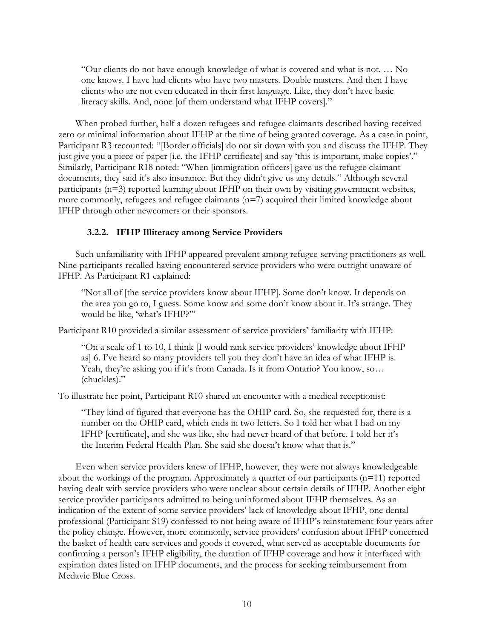"Our clients do not have enough knowledge of what is covered and what is not. … No one knows. I have had clients who have two masters. Double masters. And then I have clients who are not even educated in their first language. Like, they don't have basic literacy skills. And, none [of them understand what IFHP covers]."

When probed further, half a dozen refugees and refugee claimants described having received zero or minimal information about IFHP at the time of being granted coverage. As a case in point, Participant R3 recounted: "[Border officials] do not sit down with you and discuss the IFHP. They just give you a piece of paper [i.e. the IFHP certificate] and say 'this is important, make copies'." Similarly, Participant R18 noted: "When [immigration officers] gave us the refugee claimant documents, they said it's also insurance. But they didn't give us any details." Although several participants (n=3) reported learning about IFHP on their own by visiting government websites, more commonly, refugees and refugee claimants  $(n=7)$  acquired their limited knowledge about IFHP through other newcomers or their sponsors.

#### **3.2.2. IFHP Illiteracy among Service Providers**

Such unfamiliarity with IFHP appeared prevalent among refugee-serving practitioners as well. Nine participants recalled having encountered service providers who were outright unaware of IFHP. As Participant R1 explained:

"Not all of [the service providers know about IFHP]. Some don't know. It depends on the area you go to, I guess. Some know and some don't know about it. It's strange. They would be like, 'what's IFHP?'"

Participant R10 provided a similar assessment of service providers' familiarity with IFHP:

"On a scale of 1 to 10, I think [I would rank service providers' knowledge about IFHP as] 6. I've heard so many providers tell you they don't have an idea of what IFHP is. Yeah, they're asking you if it's from Canada. Is it from Ontario? You know, so… (chuckles)."

To illustrate her point, Participant R10 shared an encounter with a medical receptionist:

"They kind of figured that everyone has the OHIP card. So, she requested for, there is a number on the OHIP card, which ends in two letters. So I told her what I had on my IFHP [certificate], and she was like, she had never heard of that before. I told her it's the Interim Federal Health Plan. She said she doesn't know what that is."

Even when service providers knew of IFHP, however, they were not always knowledgeable about the workings of the program. Approximately a quarter of our participants  $(n=11)$  reported having dealt with service providers who were unclear about certain details of IFHP. Another eight service provider participants admitted to being uninformed about IFHP themselves. As an indication of the extent of some service providers' lack of knowledge about IFHP, one dental professional (Participant S19) confessed to not being aware of IFHP's reinstatement four years after the policy change. However, more commonly, service providers' confusion about IFHP concerned the basket of health care services and goods it covered, what served as acceptable documents for confirming a person's IFHP eligibility, the duration of IFHP coverage and how it interfaced with expiration dates listed on IFHP documents, and the process for seeking reimbursement from Medavie Blue Cross.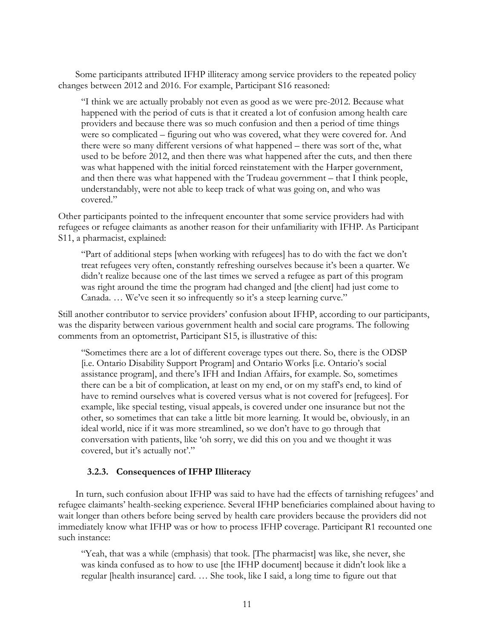Some participants attributed IFHP illiteracy among service providers to the repeated policy changes between 2012 and 2016. For example, Participant S16 reasoned:

"I think we are actually probably not even as good as we were pre-2012. Because what happened with the period of cuts is that it created a lot of confusion among health care providers and because there was so much confusion and then a period of time things were so complicated – figuring out who was covered, what they were covered for. And there were so many different versions of what happened – there was sort of the, what used to be before 2012, and then there was what happened after the cuts, and then there was what happened with the initial forced reinstatement with the Harper government, and then there was what happened with the Trudeau government – that I think people, understandably, were not able to keep track of what was going on, and who was covered."

Other participants pointed to the infrequent encounter that some service providers had with refugees or refugee claimants as another reason for their unfamiliarity with IFHP. As Participant S11, a pharmacist, explained:

"Part of additional steps [when working with refugees] has to do with the fact we don't treat refugees very often, constantly refreshing ourselves because it's been a quarter. We didn't realize because one of the last times we served a refugee as part of this program was right around the time the program had changed and [the client] had just come to Canada. … We've seen it so infrequently so it's a steep learning curve."

Still another contributor to service providers' confusion about IFHP, according to our participants, was the disparity between various government health and social care programs. The following comments from an optometrist, Participant S15, is illustrative of this:

"Sometimes there are a lot of different coverage types out there. So, there is the ODSP [i.e. Ontario Disability Support Program] and Ontario Works [i.e. Ontario's social assistance program], and there's IFH and Indian Affairs, for example. So, sometimes there can be a bit of complication, at least on my end, or on my staff's end, to kind of have to remind ourselves what is covered versus what is not covered for [refugees]. For example, like special testing, visual appeals, is covered under one insurance but not the other, so sometimes that can take a little bit more learning. It would be, obviously, in an ideal world, nice if it was more streamlined, so we don't have to go through that conversation with patients, like 'oh sorry, we did this on you and we thought it was covered, but it's actually not'."

#### **3.2.3. Consequences of IFHP Illiteracy**

In turn, such confusion about IFHP was said to have had the effects of tarnishing refugees' and refugee claimants' health-seeking experience. Several IFHP beneficiaries complained about having to wait longer than others before being served by health care providers because the providers did not immediately know what IFHP was or how to process IFHP coverage. Participant R1 recounted one such instance:

"Yeah, that was a while (emphasis) that took. [The pharmacist] was like, she never, she was kinda confused as to how to use [the IFHP document] because it didn't look like a regular [health insurance] card. … She took, like I said, a long time to figure out that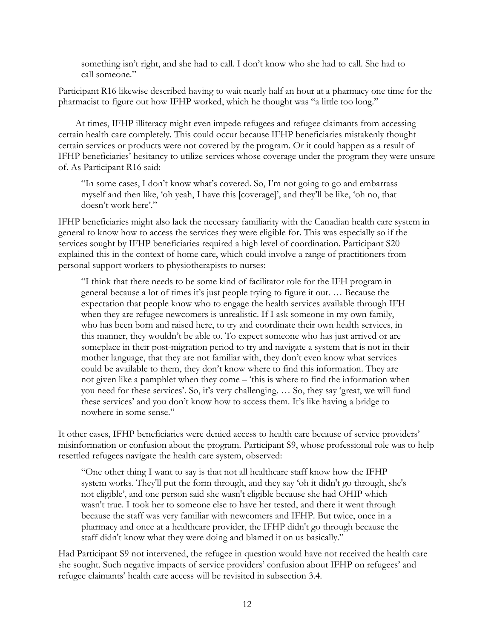something isn't right, and she had to call. I don't know who she had to call. She had to call someone."

Participant R16 likewise described having to wait nearly half an hour at a pharmacy one time for the pharmacist to figure out how IFHP worked, which he thought was "a little too long."

At times, IFHP illiteracy might even impede refugees and refugee claimants from accessing certain health care completely. This could occur because IFHP beneficiaries mistakenly thought certain services or products were not covered by the program. Or it could happen as a result of IFHP beneficiaries' hesitancy to utilize services whose coverage under the program they were unsure of. As Participant R16 said:

"In some cases, I don't know what's covered. So, I'm not going to go and embarrass myself and then like, 'oh yeah, I have this [coverage]', and they'll be like, 'oh no, that doesn't work here'."

IFHP beneficiaries might also lack the necessary familiarity with the Canadian health care system in general to know how to access the services they were eligible for. This was especially so if the services sought by IFHP beneficiaries required a high level of coordination. Participant S20 explained this in the context of home care, which could involve a range of practitioners from personal support workers to physiotherapists to nurses:

"I think that there needs to be some kind of facilitator role for the IFH program in general because a lot of times it's just people trying to figure it out. … Because the expectation that people know who to engage the health services available through IFH when they are refugee newcomers is unrealistic. If I ask someone in my own family, who has been born and raised here, to try and coordinate their own health services, in this manner, they wouldn't be able to. To expect someone who has just arrived or are someplace in their post-migration period to try and navigate a system that is not in their mother language, that they are not familiar with, they don't even know what services could be available to them, they don't know where to find this information. They are not given like a pamphlet when they come – 'this is where to find the information when you need for these services'. So, it's very challenging. … So, they say 'great, we will fund these services' and you don't know how to access them. It's like having a bridge to nowhere in some sense."

It other cases, IFHP beneficiaries were denied access to health care because of service providers' misinformation or confusion about the program. Participant S9, whose professional role was to help resettled refugees navigate the health care system, observed:

"One other thing I want to say is that not all healthcare staff know how the IFHP system works. They'll put the form through, and they say 'oh it didn't go through, she's not eligible', and one person said she wasn't eligible because she had OHIP which wasn't true. I took her to someone else to have her tested, and there it went through because the staff was very familiar with newcomers and IFHP. But twice, once in a pharmacy and once at a healthcare provider, the IFHP didn't go through because the staff didn't know what they were doing and blamed it on us basically."

Had Participant S9 not intervened, the refugee in question would have not received the health care she sought. Such negative impacts of service providers' confusion about IFHP on refugees' and refugee claimants' health care access will be revisited in subsection 3.4.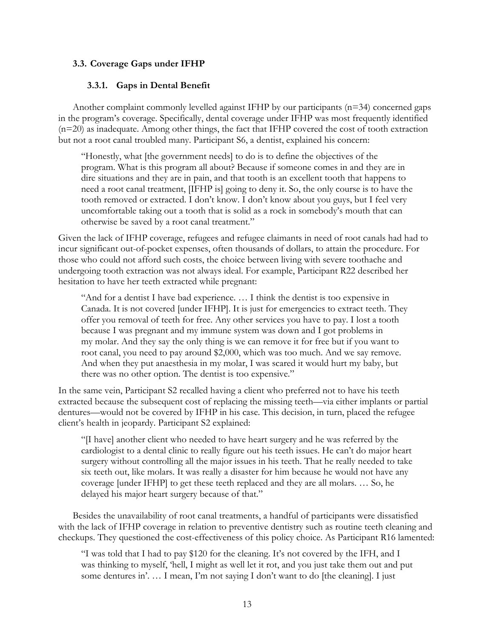# **3.3. Coverage Gaps under IFHP**

# **3.3.1. Gaps in Dental Benefit**

Another complaint commonly levelled against IFHP by our participants  $(n=34)$  concerned gaps in the program's coverage. Specifically, dental coverage under IFHP was most frequently identified (n=20) as inadequate. Among other things, the fact that IFHP covered the cost of tooth extraction but not a root canal troubled many. Participant S6, a dentist, explained his concern:

"Honestly, what [the government needs] to do is to define the objectives of the program. What is this program all about? Because if someone comes in and they are in dire situations and they are in pain, and that tooth is an excellent tooth that happens to need a root canal treatment, [IFHP is] going to deny it. So, the only course is to have the tooth removed or extracted. I don't know. I don't know about you guys, but I feel very uncomfortable taking out a tooth that is solid as a rock in somebody's mouth that can otherwise be saved by a root canal treatment."

Given the lack of IFHP coverage, refugees and refugee claimants in need of root canals had had to incur significant out-of-pocket expenses, often thousands of dollars, to attain the procedure. For those who could not afford such costs, the choice between living with severe toothache and undergoing tooth extraction was not always ideal. For example, Participant R22 described her hesitation to have her teeth extracted while pregnant:

"And for a dentist I have bad experience. … I think the dentist is too expensive in Canada. It is not covered [under IFHP]. It is just for emergencies to extract teeth. They offer you removal of teeth for free. Any other services you have to pay. I lost a tooth because I was pregnant and my immune system was down and I got problems in my molar. And they say the only thing is we can remove it for free but if you want to root canal, you need to pay around \$2,000, which was too much. And we say remove. And when they put anaesthesia in my molar, I was scared it would hurt my baby, but there was no other option. The dentist is too expensive."

In the same vein, Participant S2 recalled having a client who preferred not to have his teeth extracted because the subsequent cost of replacing the missing teeth—via either implants or partial dentures—would not be covered by IFHP in his case. This decision, in turn, placed the refugee client's health in jeopardy. Participant S2 explained:

"[I have] another client who needed to have heart surgery and he was referred by the cardiologist to a dental clinic to really figure out his teeth issues. He can't do major heart surgery without controlling all the major issues in his teeth. That he really needed to take six teeth out, like molars. It was really a disaster for him because he would not have any coverage [under IFHP] to get these teeth replaced and they are all molars. … So, he delayed his major heart surgery because of that."

Besides the unavailability of root canal treatments, a handful of participants were dissatisfied with the lack of IFHP coverage in relation to preventive dentistry such as routine teeth cleaning and checkups. They questioned the cost-effectiveness of this policy choice. As Participant R16 lamented:

"I was told that I had to pay \$120 for the cleaning. It's not covered by the IFH, and I was thinking to myself, 'hell, I might as well let it rot, and you just take them out and put some dentures in'. … I mean, I'm not saying I don't want to do [the cleaning]. I just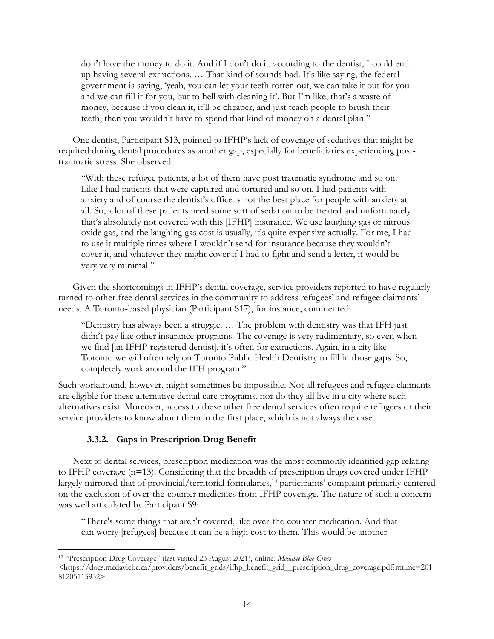don't have the money to do it. And if I don't do it, according to the dentist, I could end up having several extractions. … That kind of sounds bad. It's like saying, the federal government is saying, 'yeah, you can let your teeth rotten out, we can take it out for you and we can fill it for you, but to hell with cleaning it'. But I'm like, that's a waste of money, because if you clean it, it'll be cheaper, and just teach people to brush their teeth, then you wouldn't have to spend that kind of money on a dental plan."

One dentist, Participant S13, pointed to IFHP's lack of coverage of sedatives that might be required during dental procedures as another gap, especially for beneficiaries experiencing posttraumatic stress. She observed:

"With these refugee patients, a lot of them have post traumatic syndrome and so on. Like I had patients that were captured and tortured and so on. I had patients with anxiety and of course the dentist's office is not the best place for people with anxiety at all. So, a lot of these patients need some sort of sedation to be treated and unfortunately that's absolutely not covered with this [IFHP] insurance. We use laughing gas or nitrous oxide gas, and the laughing gas cost is usually, it's quite expensive actually. For me, I had to use it multiple times where I wouldn't send for insurance because they wouldn't cover it, and whatever they might cover if I had to fight and send a letter, it would be very very minimal."

Given the shortcomings in IFHP's dental coverage, service providers reported to have regularly turned to other free dental services in the community to address refugees' and refugee claimants' needs. A Toronto-based physician (Participant S17), for instance, commented:

"Dentistry has always been a struggle. … The problem with dentistry was that IFH just didn't pay like other insurance programs. The coverage is very rudimentary, so even when we find [an IFHP-registered dentist], it's often for extractions. Again, in a city like Toronto we will often rely on Toronto Public Health Dentistry to fill in those gaps. So, completely work around the IFH program."

Such workaround, however, might sometimes be impossible. Not all refugees and refugee claimants are eligible for these alternative dental care programs, nor do they all live in a city where such alternatives exist. Moreover, access to these other free dental services often require refugees or their service providers to know about them in the first place, which is not always the case.

# **3.3.2. Gaps in Prescription Drug Benefit**

Next to dental services, prescription medication was the most commonly identified gap relating to IFHP coverage  $(n=13)$ . Considering that the breadth of prescription drugs covered under IFHP largely mirrored that of provincial/territorial formularies,<sup>13</sup> participants' complaint primarily centered on the exclusion of over-the-counter medicines from IFHP coverage. The nature of such a concern was well articulated by Participant S9:

"There's some things that aren't covered, like over-the-counter medication. And that can worry [refugees] because it can be a high cost to them. This would be another

<sup>13</sup> "Prescription Drug Coverage" (last visited 23 August 2021), online: *Medavie Blue Cross*  <https://docs.medaviebc.ca/providers/benefit\_grids/ifhp\_benefit\_grid\_\_prescription\_drug\_coverage.pdf?mtime=201 81205115932>.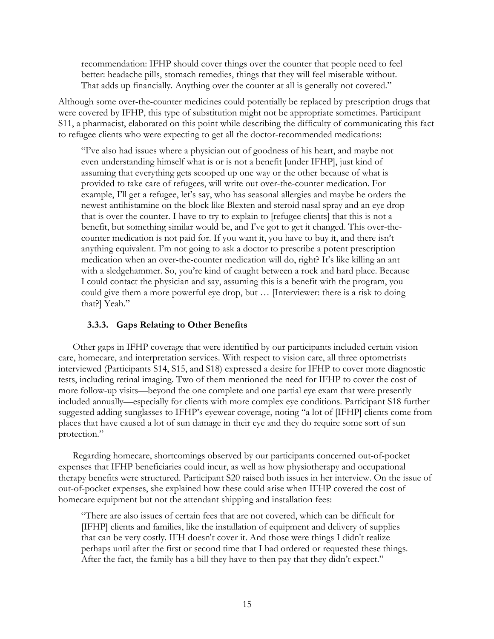recommendation: IFHP should cover things over the counter that people need to feel better: headache pills, stomach remedies, things that they will feel miserable without. That adds up financially. Anything over the counter at all is generally not covered."

Although some over-the-counter medicines could potentially be replaced by prescription drugs that were covered by IFHP, this type of substitution might not be appropriate sometimes. Participant S11, a pharmacist, elaborated on this point while describing the difficulty of communicating this fact to refugee clients who were expecting to get all the doctor-recommended medications:

"I've also had issues where a physician out of goodness of his heart, and maybe not even understanding himself what is or is not a benefit [under IFHP], just kind of assuming that everything gets scooped up one way or the other because of what is provided to take care of refugees, will write out over-the-counter medication. For example, I'll get a refugee, let's say, who has seasonal allergies and maybe he orders the newest antihistamine on the block like Blexten and steroid nasal spray and an eye drop that is over the counter. I have to try to explain to [refugee clients] that this is not a benefit, but something similar would be, and I've got to get it changed. This over-thecounter medication is not paid for. If you want it, you have to buy it, and there isn't anything equivalent. I'm not going to ask a doctor to prescribe a potent prescription medication when an over-the-counter medication will do, right? It's like killing an ant with a sledgehammer. So, you're kind of caught between a rock and hard place. Because I could contact the physician and say, assuming this is a benefit with the program, you could give them a more powerful eye drop, but … [Interviewer: there is a risk to doing that?] Yeah."

## **3.3.3. Gaps Relating to Other Benefits**

Other gaps in IFHP coverage that were identified by our participants included certain vision care, homecare, and interpretation services. With respect to vision care, all three optometrists interviewed (Participants S14, S15, and S18) expressed a desire for IFHP to cover more diagnostic tests, including retinal imaging. Two of them mentioned the need for IFHP to cover the cost of more follow-up visits—beyond the one complete and one partial eye exam that were presently included annually—especially for clients with more complex eye conditions. Participant S18 further suggested adding sunglasses to IFHP's eyewear coverage, noting "a lot of [IFHP] clients come from places that have caused a lot of sun damage in their eye and they do require some sort of sun protection."

Regarding homecare, shortcomings observed by our participants concerned out-of-pocket expenses that IFHP beneficiaries could incur, as well as how physiotherapy and occupational therapy benefits were structured. Participant S20 raised both issues in her interview. On the issue of out-of-pocket expenses, she explained how these could arise when IFHP covered the cost of homecare equipment but not the attendant shipping and installation fees:

"There are also issues of certain fees that are not covered, which can be difficult for [IFHP] clients and families, like the installation of equipment and delivery of supplies that can be very costly. IFH doesn't cover it. And those were things I didn't realize perhaps until after the first or second time that I had ordered or requested these things. After the fact, the family has a bill they have to then pay that they didn't expect."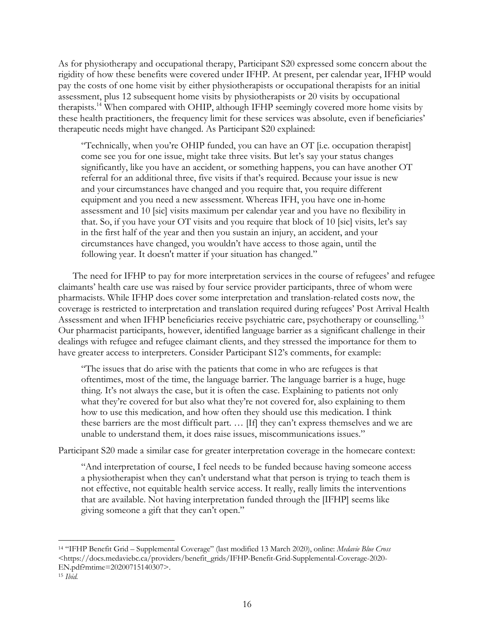As for physiotherapy and occupational therapy, Participant S20 expressed some concern about the rigidity of how these benefits were covered under IFHP. At present, per calendar year, IFHP would pay the costs of one home visit by either physiotherapists or occupational therapists for an initial assessment, plus 12 subsequent home visits by physiotherapists or 20 visits by occupational therapists.14 When compared with OHIP, although IFHP seemingly covered more home visits by these health practitioners, the frequency limit for these services was absolute, even if beneficiaries' therapeutic needs might have changed. As Participant S20 explained:

"Technically, when you're OHIP funded, you can have an OT [i.e. occupation therapist] come see you for one issue, might take three visits. But let's say your status changes significantly, like you have an accident, or something happens, you can have another OT referral for an additional three, five visits if that's required. Because your issue is new and your circumstances have changed and you require that, you require different equipment and you need a new assessment. Whereas IFH, you have one in-home assessment and 10 [sic] visits maximum per calendar year and you have no flexibility in that. So, if you have your OT visits and you require that block of 10 [sic] visits, let's say in the first half of the year and then you sustain an injury, an accident, and your circumstances have changed, you wouldn't have access to those again, until the following year. It doesn't matter if your situation has changed."

The need for IFHP to pay for more interpretation services in the course of refugees' and refugee claimants' health care use was raised by four service provider participants, three of whom were pharmacists. While IFHP does cover some interpretation and translation-related costs now, the coverage is restricted to interpretation and translation required during refugees' Post Arrival Health Assessment and when IFHP beneficiaries receive psychiatric care, psychotherapy or counselling.15 Our pharmacist participants, however, identified language barrier as a significant challenge in their dealings with refugee and refugee claimant clients, and they stressed the importance for them to have greater access to interpreters. Consider Participant S12's comments, for example:

"The issues that do arise with the patients that come in who are refugees is that oftentimes, most of the time, the language barrier. The language barrier is a huge, huge thing. It's not always the case, but it is often the case. Explaining to patients not only what they're covered for but also what they're not covered for, also explaining to them how to use this medication, and how often they should use this medication. I think these barriers are the most difficult part. … [If] they can't express themselves and we are unable to understand them, it does raise issues, miscommunications issues."

Participant S20 made a similar case for greater interpretation coverage in the homecare context:

"And interpretation of course, I feel needs to be funded because having someone access a physiotherapist when they can't understand what that person is trying to teach them is not effective, not equitable health service access. It really, really limits the interventions that are available. Not having interpretation funded through the [IFHP] seems like giving someone a gift that they can't open."

<sup>14</sup> "IFHP Benefit Grid – Supplemental Coverage" (last modified 13 March 2020), online: *Medavie Blue Cross*  <https://docs.medaviebc.ca/providers/benefit\_grids/IFHP-Benefit-Grid-Supplemental-Coverage-2020- EN.pdf?mtime=20200715140307>.

<sup>15</sup> *Ibid.*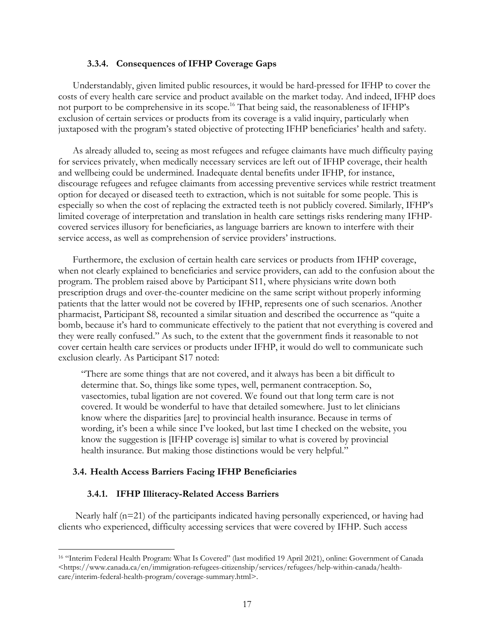#### **3.3.4. Consequences of IFHP Coverage Gaps**

Understandably, given limited public resources, it would be hard-pressed for IFHP to cover the costs of every health care service and product available on the market today. And indeed, IFHP does not purport to be comprehensive in its scope.<sup>16</sup> That being said, the reasonableness of IFHP's exclusion of certain services or products from its coverage is a valid inquiry, particularly when juxtaposed with the program's stated objective of protecting IFHP beneficiaries' health and safety.

As already alluded to, seeing as most refugees and refugee claimants have much difficulty paying for services privately, when medically necessary services are left out of IFHP coverage, their health and wellbeing could be undermined. Inadequate dental benefits under IFHP, for instance, discourage refugees and refugee claimants from accessing preventive services while restrict treatment option for decayed or diseased teeth to extraction, which is not suitable for some people. This is especially so when the cost of replacing the extracted teeth is not publicly covered. Similarly, IFHP's limited coverage of interpretation and translation in health care settings risks rendering many IFHPcovered services illusory for beneficiaries, as language barriers are known to interfere with their service access, as well as comprehension of service providers' instructions.

Furthermore, the exclusion of certain health care services or products from IFHP coverage, when not clearly explained to beneficiaries and service providers, can add to the confusion about the program. The problem raised above by Participant S11, where physicians write down both prescription drugs and over-the-counter medicine on the same script without properly informing patients that the latter would not be covered by IFHP, represents one of such scenarios. Another pharmacist, Participant S8, recounted a similar situation and described the occurrence as "quite a bomb, because it's hard to communicate effectively to the patient that not everything is covered and they were really confused." As such, to the extent that the government finds it reasonable to not cover certain health care services or products under IFHP, it would do well to communicate such exclusion clearly. As Participant S17 noted:

"There are some things that are not covered, and it always has been a bit difficult to determine that. So, things like some types, well, permanent contraception. So, vasectomies, tubal ligation are not covered. We found out that long term care is not covered. It would be wonderful to have that detailed somewhere. Just to let clinicians know where the disparities [are] to provincial health insurance. Because in terms of wording, it's been a while since I've looked, but last time I checked on the website, you know the suggestion is [IFHP coverage is] similar to what is covered by provincial health insurance. But making those distinctions would be very helpful."

## **3.4. Health Access Barriers Facing IFHP Beneficiaries**

#### **3.4.1. IFHP Illiteracy-Related Access Barriers**

Nearly half  $(n=21)$  of the participants indicated having personally experienced, or having had clients who experienced, difficulty accessing services that were covered by IFHP. Such access

<sup>16</sup> "Interim Federal Health Program: What Is Covered" (last modified 19 April 2021), online: Government of Canada  $\langle$ https://www.canada.ca/en/immigration-refugees-citizenship/services/refugees/help-within-canada/healthcare/interim-federal-health-program/coverage-summary.html>.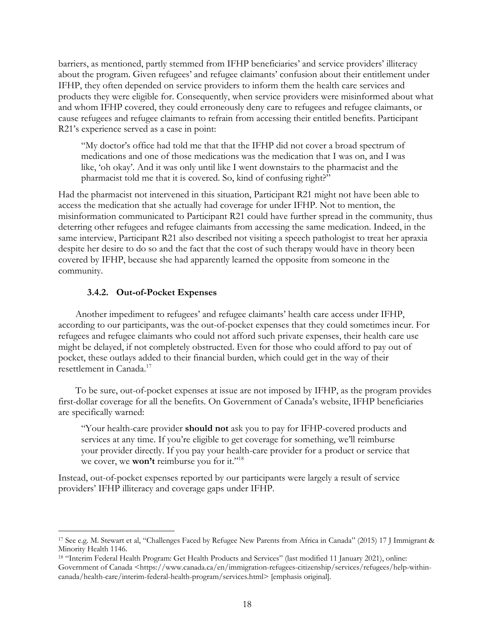barriers, as mentioned, partly stemmed from IFHP beneficiaries' and service providers' illiteracy about the program. Given refugees' and refugee claimants' confusion about their entitlement under IFHP, they often depended on service providers to inform them the health care services and products they were eligible for. Consequently, when service providers were misinformed about what and whom IFHP covered, they could erroneously deny care to refugees and refugee claimants, or cause refugees and refugee claimants to refrain from accessing their entitled benefits. Participant R21's experience served as a case in point:

"My doctor's office had told me that that the IFHP did not cover a broad spectrum of medications and one of those medications was the medication that I was on, and I was like, 'oh okay'. And it was only until like I went downstairs to the pharmacist and the pharmacist told me that it is covered. So, kind of confusing right?"

Had the pharmacist not intervened in this situation, Participant R21 might not have been able to access the medication that she actually had coverage for under IFHP. Not to mention, the misinformation communicated to Participant R21 could have further spread in the community, thus deterring other refugees and refugee claimants from accessing the same medication. Indeed, in the same interview, Participant R21 also described not visiting a speech pathologist to treat her apraxia despite her desire to do so and the fact that the cost of such therapy would have in theory been covered by IFHP, because she had apparently learned the opposite from someone in the community.

## **3.4.2. Out-of-Pocket Expenses**

Another impediment to refugees' and refugee claimants' health care access under IFHP, according to our participants, was the out-of-pocket expenses that they could sometimes incur. For refugees and refugee claimants who could not afford such private expenses, their health care use might be delayed, if not completely obstructed. Even for those who could afford to pay out of pocket, these outlays added to their financial burden, which could get in the way of their resettlement in Canada.17

To be sure, out-of-pocket expenses at issue are not imposed by IFHP, as the program provides first-dollar coverage for all the benefits. On Government of Canada's website, IFHP beneficiaries are specifically warned:

"Your health-care provider **should not** ask you to pay for IFHP-covered products and services at any time. If you're eligible to get coverage for something, we'll reimburse your provider directly. If you pay your health-care provider for a product or service that we cover, we **won't** reimburse you for it."<sup>18</sup>

Instead, out-of-pocket expenses reported by our participants were largely a result of service providers' IFHP illiteracy and coverage gaps under IFHP.

<sup>17</sup> See e.g. M. Stewart et al, "Challenges Faced by Refugee New Parents from Africa in Canada" (2015) 17 J Immigrant & Minority Health 1146.

<sup>18</sup> "Interim Federal Health Program: Get Health Products and Services" (last modified 11 January 2021), online: Government of Canada <https://www.canada.ca/en/immigration-refugees-citizenship/services/refugees/help-withincanada/health-care/interim-federal-health-program/services.html> [emphasis original].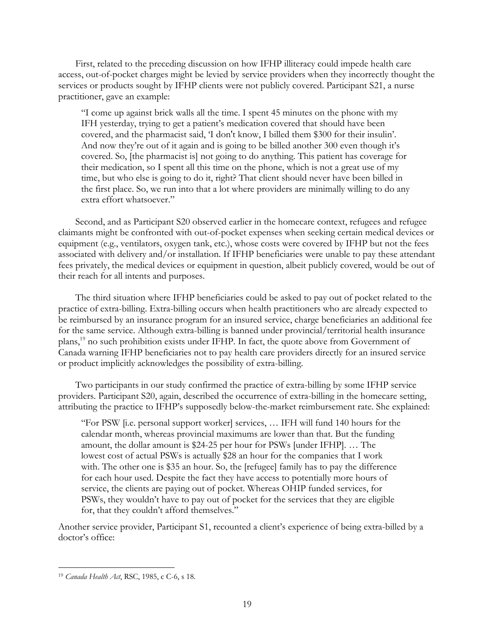First, related to the preceding discussion on how IFHP illiteracy could impede health care access, out-of-pocket charges might be levied by service providers when they incorrectly thought the services or products sought by IFHP clients were not publicly covered. Participant S21, a nurse practitioner, gave an example:

"I come up against brick walls all the time. I spent 45 minutes on the phone with my IFH yesterday, trying to get a patient's medication covered that should have been covered, and the pharmacist said, 'I don't know, I billed them \$300 for their insulin'. And now they're out of it again and is going to be billed another 300 even though it's covered. So, [the pharmacist is] not going to do anything. This patient has coverage for their medication, so I spent all this time on the phone, which is not a great use of my time, but who else is going to do it, right? That client should never have been billed in the first place. So, we run into that a lot where providers are minimally willing to do any extra effort whatsoever."

Second, and as Participant S20 observed earlier in the homecare context, refugees and refugee claimants might be confronted with out-of-pocket expenses when seeking certain medical devices or equipment (e.g., ventilators, oxygen tank, etc.), whose costs were covered by IFHP but not the fees associated with delivery and/or installation. If IFHP beneficiaries were unable to pay these attendant fees privately, the medical devices or equipment in question, albeit publicly covered, would be out of their reach for all intents and purposes.

The third situation where IFHP beneficiaries could be asked to pay out of pocket related to the practice of extra-billing. Extra-billing occurs when health practitioners who are already expected to be reimbursed by an insurance program for an insured service, charge beneficiaries an additional fee for the same service. Although extra-billing is banned under provincial/territorial health insurance plans,19 no such prohibition exists under IFHP. In fact, the quote above from Government of Canada warning IFHP beneficiaries not to pay health care providers directly for an insured service or product implicitly acknowledges the possibility of extra-billing.

Two participants in our study confirmed the practice of extra-billing by some IFHP service providers. Participant S20, again, described the occurrence of extra-billing in the homecare setting, attributing the practice to IFHP's supposedly below-the-market reimbursement rate. She explained:

"For PSW [i.e. personal support worker] services, … IFH will fund 140 hours for the calendar month, whereas provincial maximums are lower than that. But the funding amount, the dollar amount is \$24-25 per hour for PSWs [under IFHP]. … The lowest cost of actual PSWs is actually \$28 an hour for the companies that I work with. The other one is \$35 an hour. So, the [refugee] family has to pay the difference for each hour used. Despite the fact they have access to potentially more hours of service, the clients are paying out of pocket. Whereas OHIP funded services, for PSWs, they wouldn't have to pay out of pocket for the services that they are eligible for, that they couldn't afford themselves."

Another service provider, Participant S1, recounted a client's experience of being extra-billed by a doctor's office:

<sup>19</sup> *Canada Health Act*, RSC, 1985, c C-6, s 18.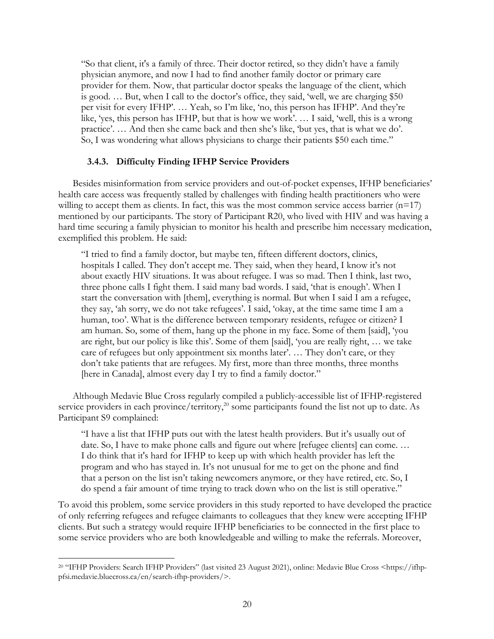"So that client, it's a family of three. Their doctor retired, so they didn't have a family physician anymore, and now I had to find another family doctor or primary care provider for them. Now, that particular doctor speaks the language of the client, which is good. … But, when I call to the doctor's office, they said, 'well, we are charging \$50 per visit for every IFHP'. … Yeah, so I'm like, 'no, this person has IFHP'. And they're like, 'yes, this person has IFHP, but that is how we work'. … I said, 'well, this is a wrong practice'. … And then she came back and then she's like, 'but yes, that is what we do'. So, I was wondering what allows physicians to charge their patients \$50 each time."

# **3.4.3. Difficulty Finding IFHP Service Providers**

Besides misinformation from service providers and out-of-pocket expenses, IFHP beneficiaries' health care access was frequently stalled by challenges with finding health practitioners who were willing to accept them as clients. In fact, this was the most common service access barrier  $(n=17)$ mentioned by our participants. The story of Participant R20, who lived with HIV and was having a hard time securing a family physician to monitor his health and prescribe him necessary medication, exemplified this problem. He said:

"I tried to find a family doctor, but maybe ten, fifteen different doctors, clinics, hospitals I called. They don't accept me. They said, when they heard, I know it's not about exactly HIV situations. It was about refugee. I was so mad. Then I think, last two, three phone calls I fight them. I said many bad words. I said, 'that is enough'. When I start the conversation with [them], everything is normal. But when I said I am a refugee, they say, 'ah sorry, we do not take refugees'. I said, 'okay, at the time same time I am a human, too'. What is the difference between temporary residents, refugee or citizen? I am human. So, some of them, hang up the phone in my face. Some of them [said], 'you are right, but our policy is like this'. Some of them [said], 'you are really right, … we take care of refugees but only appointment six months later'. … They don't care, or they don't take patients that are refugees. My first, more than three months, three months [here in Canada], almost every day I try to find a family doctor."

Although Medavie Blue Cross regularly compiled a publicly-accessible list of IFHP-registered service providers in each province/territory,<sup>20</sup> some participants found the list not up to date. As Participant S9 complained:

"I have a list that IFHP puts out with the latest health providers. But it's usually out of date. So, I have to make phone calls and figure out where [refugee clients] can come. … I do think that it's hard for IFHP to keep up with which health provider has left the program and who has stayed in. It's not unusual for me to get on the phone and find that a person on the list isn't taking newcomers anymore, or they have retired, etc. So, I do spend a fair amount of time trying to track down who on the list is still operative."

To avoid this problem, some service providers in this study reported to have developed the practice of only referring refugees and refugee claimants to colleagues that they knew were accepting IFHP clients. But such a strategy would require IFHP beneficiaries to be connected in the first place to some service providers who are both knowledgeable and willing to make the referrals. Moreover,

<sup>&</sup>lt;sup>20</sup> "IFHP Providers: Search IFHP Providers" (last visited 23 August 2021), online: Medavie Blue Cross <https://ifhppfsi.medavie.bluecross.ca/en/search-ifhp-providers/>.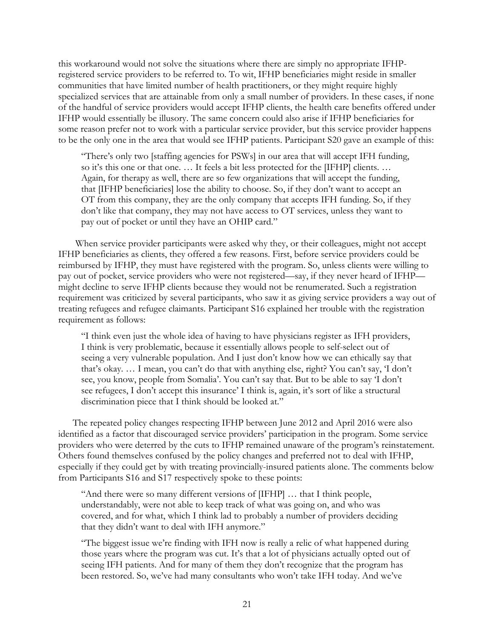this workaround would not solve the situations where there are simply no appropriate IFHPregistered service providers to be referred to. To wit, IFHP beneficiaries might reside in smaller communities that have limited number of health practitioners, or they might require highly specialized services that are attainable from only a small number of providers. In these cases, if none of the handful of service providers would accept IFHP clients, the health care benefits offered under IFHP would essentially be illusory. The same concern could also arise if IFHP beneficiaries for some reason prefer not to work with a particular service provider, but this service provider happens to be the only one in the area that would see IFHP patients. Participant S20 gave an example of this:

"There's only two [staffing agencies for PSWs] in our area that will accept IFH funding, so it's this one or that one. … It feels a bit less protected for the [IFHP] clients. … Again, for therapy as well, there are so few organizations that will accept the funding, that [IFHP beneficiaries] lose the ability to choose. So, if they don't want to accept an OT from this company, they are the only company that accepts IFH funding. So, if they don't like that company, they may not have access to OT services, unless they want to pay out of pocket or until they have an OHIP card."

When service provider participants were asked why they, or their colleagues, might not accept IFHP beneficiaries as clients, they offered a few reasons. First, before service providers could be reimbursed by IFHP, they must have registered with the program. So, unless clients were willing to pay out of pocket, service providers who were not registered—say, if they never heard of IFHP might decline to serve IFHP clients because they would not be renumerated. Such a registration requirement was criticized by several participants, who saw it as giving service providers a way out of treating refugees and refugee claimants. Participant S16 explained her trouble with the registration requirement as follows:

"I think even just the whole idea of having to have physicians register as IFH providers, I think is very problematic, because it essentially allows people to self-select out of seeing a very vulnerable population. And I just don't know how we can ethically say that that's okay. … I mean, you can't do that with anything else, right? You can't say, 'I don't see, you know, people from Somalia'. You can't say that. But to be able to say 'I don't see refugees, I don't accept this insurance' I think is, again, it's sort of like a structural discrimination piece that I think should be looked at."

The repeated policy changes respecting IFHP between June 2012 and April 2016 were also identified as a factor that discouraged service providers' participation in the program. Some service providers who were deterred by the cuts to IFHP remained unaware of the program's reinstatement. Others found themselves confused by the policy changes and preferred not to deal with IFHP, especially if they could get by with treating provincially-insured patients alone. The comments below from Participants S16 and S17 respectively spoke to these points:

"And there were so many different versions of [IFHP] … that I think people, understandably, were not able to keep track of what was going on, and who was covered, and for what, which I think lad to probably a number of providers deciding that they didn't want to deal with IFH anymore."

"The biggest issue we're finding with IFH now is really a relic of what happened during those years where the program was cut. It's that a lot of physicians actually opted out of seeing IFH patients. And for many of them they don't recognize that the program has been restored. So, we've had many consultants who won't take IFH today. And we've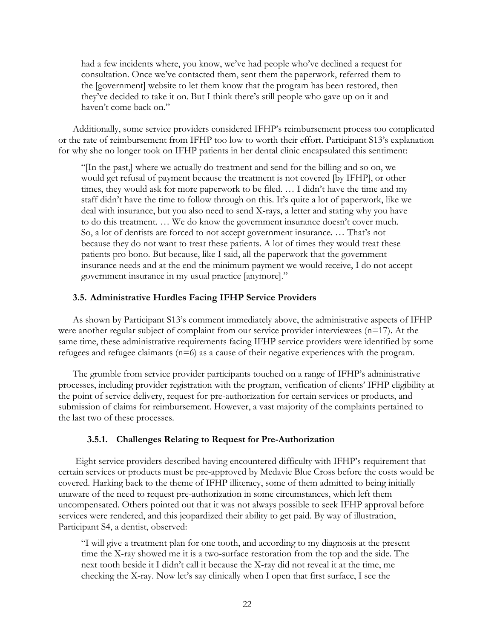had a few incidents where, you know, we've had people who've declined a request for consultation. Once we've contacted them, sent them the paperwork, referred them to the [government] website to let them know that the program has been restored, then they've decided to take it on. But I think there's still people who gave up on it and haven't come back on."

Additionally, some service providers considered IFHP's reimbursement process too complicated or the rate of reimbursement from IFHP too low to worth their effort. Participant S13's explanation for why she no longer took on IFHP patients in her dental clinic encapsulated this sentiment:

"[In the past,] where we actually do treatment and send for the billing and so on, we would get refusal of payment because the treatment is not covered [by IFHP], or other times, they would ask for more paperwork to be filed. … I didn't have the time and my staff didn't have the time to follow through on this. It's quite a lot of paperwork, like we deal with insurance, but you also need to send X-rays, a letter and stating why you have to do this treatment. … We do know the government insurance doesn't cover much. So, a lot of dentists are forced to not accept government insurance. … That's not because they do not want to treat these patients. A lot of times they would treat these patients pro bono. But because, like I said, all the paperwork that the government insurance needs and at the end the minimum payment we would receive, I do not accept government insurance in my usual practice [anymore]."

#### **3.5. Administrative Hurdles Facing IFHP Service Providers**

As shown by Participant S13's comment immediately above, the administrative aspects of IFHP were another regular subject of complaint from our service provider interviewees  $(n=17)$ . At the same time, these administrative requirements facing IFHP service providers were identified by some refugees and refugee claimants (n=6) as a cause of their negative experiences with the program.

The grumble from service provider participants touched on a range of IFHP's administrative processes, including provider registration with the program, verification of clients' IFHP eligibility at the point of service delivery, request for pre-authorization for certain services or products, and submission of claims for reimbursement. However, a vast majority of the complaints pertained to the last two of these processes.

#### **3.5.1. Challenges Relating to Request for Pre-Authorization**

Eight service providers described having encountered difficulty with IFHP's requirement that certain services or products must be pre-approved by Medavie Blue Cross before the costs would be covered. Harking back to the theme of IFHP illiteracy, some of them admitted to being initially unaware of the need to request pre-authorization in some circumstances, which left them uncompensated. Others pointed out that it was not always possible to seek IFHP approval before services were rendered, and this jeopardized their ability to get paid. By way of illustration, Participant S4, a dentist, observed:

"I will give a treatment plan for one tooth, and according to my diagnosis at the present time the X-ray showed me it is a two-surface restoration from the top and the side. The next tooth beside it I didn't call it because the X-ray did not reveal it at the time, me checking the X-ray. Now let's say clinically when I open that first surface, I see the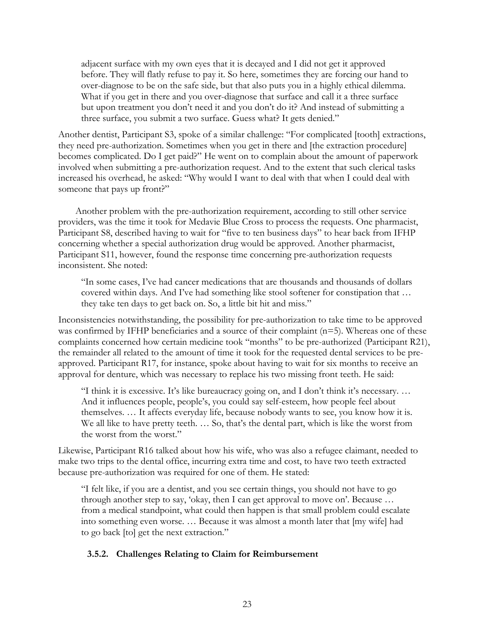adjacent surface with my own eyes that it is decayed and I did not get it approved before. They will flatly refuse to pay it. So here, sometimes they are forcing our hand to over-diagnose to be on the safe side, but that also puts you in a highly ethical dilemma. What if you get in there and you over-diagnose that surface and call it a three surface but upon treatment you don't need it and you don't do it? And instead of submitting a three surface, you submit a two surface. Guess what? It gets denied."

Another dentist, Participant S3, spoke of a similar challenge: "For complicated [tooth] extractions, they need pre-authorization. Sometimes when you get in there and [the extraction procedure] becomes complicated. Do I get paid?" He went on to complain about the amount of paperwork involved when submitting a pre-authorization request. And to the extent that such clerical tasks increased his overhead, he asked: "Why would I want to deal with that when I could deal with someone that pays up front?"

Another problem with the pre-authorization requirement, according to still other service providers, was the time it took for Medavie Blue Cross to process the requests. One pharmacist, Participant S8, described having to wait for "five to ten business days" to hear back from IFHP concerning whether a special authorization drug would be approved. Another pharmacist, Participant S11, however, found the response time concerning pre-authorization requests inconsistent. She noted:

"In some cases, I've had cancer medications that are thousands and thousands of dollars covered within days. And I've had something like stool softener for constipation that … they take ten days to get back on. So, a little bit hit and miss."

Inconsistencies notwithstanding, the possibility for pre-authorization to take time to be approved was confirmed by IFHP beneficiaries and a source of their complaint (n=5). Whereas one of these complaints concerned how certain medicine took "months" to be pre-authorized (Participant R21), the remainder all related to the amount of time it took for the requested dental services to be preapproved. Participant R17, for instance, spoke about having to wait for six months to receive an approval for denture, which was necessary to replace his two missing front teeth. He said:

"I think it is excessive. It's like bureaucracy going on, and I don't think it's necessary. … And it influences people, people's, you could say self-esteem, how people feel about themselves. … It affects everyday life, because nobody wants to see, you know how it is. We all like to have pretty teeth. ... So, that's the dental part, which is like the worst from the worst from the worst."

Likewise, Participant R16 talked about how his wife, who was also a refugee claimant, needed to make two trips to the dental office, incurring extra time and cost, to have two teeth extracted because pre-authorization was required for one of them. He stated:

"I felt like, if you are a dentist, and you see certain things, you should not have to go through another step to say, 'okay, then I can get approval to move on'. Because … from a medical standpoint, what could then happen is that small problem could escalate into something even worse. … Because it was almost a month later that [my wife] had to go back [to] get the next extraction."

# **3.5.2. Challenges Relating to Claim for Reimbursement**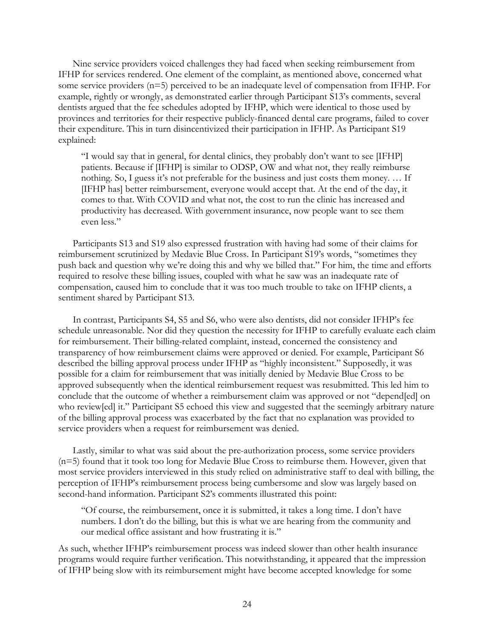Nine service providers voiced challenges they had faced when seeking reimbursement from IFHP for services rendered. One element of the complaint, as mentioned above, concerned what some service providers (n=5) perceived to be an inadequate level of compensation from IFHP. For example, rightly or wrongly, as demonstrated earlier through Participant S13's comments, several dentists argued that the fee schedules adopted by IFHP, which were identical to those used by provinces and territories for their respective publicly-financed dental care programs, failed to cover their expenditure. This in turn disincentivized their participation in IFHP. As Participant S19 explained:

"I would say that in general, for dental clinics, they probably don't want to see [IFHP] patients. Because if [IFHP] is similar to ODSP, OW and what not, they really reimburse nothing. So, I guess it's not preferable for the business and just costs them money. … If [IFHP has] better reimbursement, everyone would accept that. At the end of the day, it comes to that. With COVID and what not, the cost to run the clinic has increased and productivity has decreased. With government insurance, now people want to see them even less."

Participants S13 and S19 also expressed frustration with having had some of their claims for reimbursement scrutinized by Medavie Blue Cross. In Participant S19's words, "sometimes they push back and question why we're doing this and why we billed that." For him, the time and efforts required to resolve these billing issues, coupled with what he saw was an inadequate rate of compensation, caused him to conclude that it was too much trouble to take on IFHP clients, a sentiment shared by Participant S13.

In contrast, Participants S4, S5 and S6, who were also dentists, did not consider IFHP's fee schedule unreasonable. Nor did they question the necessity for IFHP to carefully evaluate each claim for reimbursement. Their billing-related complaint, instead, concerned the consistency and transparency of how reimbursement claims were approved or denied. For example, Participant S6 described the billing approval process under IFHP as "highly inconsistent." Supposedly, it was possible for a claim for reimbursement that was initially denied by Medavie Blue Cross to be approved subsequently when the identical reimbursement request was resubmitted. This led him to conclude that the outcome of whether a reimbursement claim was approved or not "depend[ed] on who review[ed] it." Participant S5 echoed this view and suggested that the seemingly arbitrary nature of the billing approval process was exacerbated by the fact that no explanation was provided to service providers when a request for reimbursement was denied.

Lastly, similar to what was said about the pre-authorization process, some service providers (n=5) found that it took too long for Medavie Blue Cross to reimburse them. However, given that most service providers interviewed in this study relied on administrative staff to deal with billing, the perception of IFHP's reimbursement process being cumbersome and slow was largely based on second-hand information. Participant S2's comments illustrated this point:

"Of course, the reimbursement, once it is submitted, it takes a long time. I don't have numbers. I don't do the billing, but this is what we are hearing from the community and our medical office assistant and how frustrating it is."

As such, whether IFHP's reimbursement process was indeed slower than other health insurance programs would require further verification. This notwithstanding, it appeared that the impression of IFHP being slow with its reimbursement might have become accepted knowledge for some